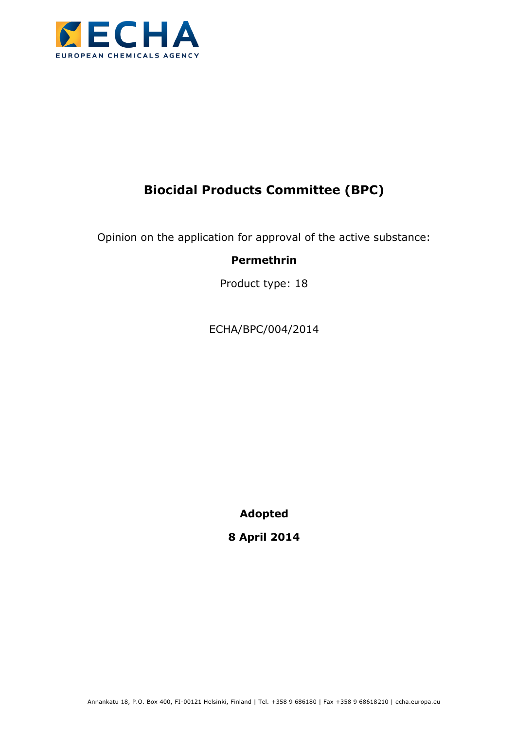

# **Biocidal Products Committee (BPC)**

Opinion on the application for approval of the active substance:

## **Permethrin**

Product type: 18

ECHA/BPC/004/2014

**Adopted**

**8 April 2014**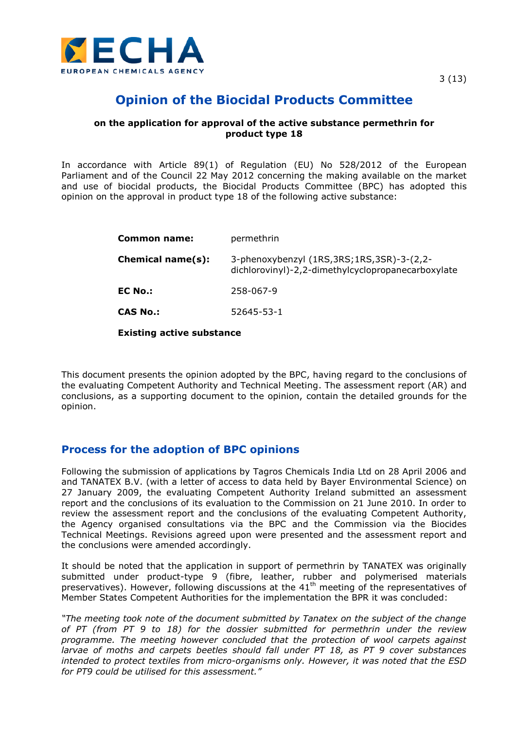

# **Opinion of the Biocidal Products Committee**

#### **on the application for approval of the active substance permethrin for product type 18**

In accordance with Article 89(1) of Regulation (EU) No 528/2012 of the European Parliament and of the Council 22 May 2012 concerning the making available on the market and use of biocidal products, the Biocidal Products Committee (BPC) has adopted this opinion on the approval in product type 18 of the following active substance:

| <b>Common name:</b> | permethrin                                                                                          |
|---------------------|-----------------------------------------------------------------------------------------------------|
| Chemical name(s):   | 3-phenoxybenzyl (1RS, 3RS; 1RS, 3SR)-3-(2, 2-<br>dichlorovinyl)-2,2-dimethylcyclopropanecarboxylate |
| <b>EC No.:</b>      | 258-067-9                                                                                           |
| <b>CAS No.:</b>     | 52645-53-1                                                                                          |
|                     |                                                                                                     |

**Existing active substance**

This document presents the opinion adopted by the BPC, having regard to the conclusions of the evaluating Competent Authority and Technical Meeting. The assessment report (AR) and conclusions, as a supporting document to the opinion, contain the detailed grounds for the opinion.

### **Process for the adoption of BPC opinions**

Following the submission of applications by Tagros Chemicals India Ltd on 28 April 2006 and and TANATEX B.V. (with a letter of access to data held by Bayer Environmental Science) on 27 January 2009, the evaluating Competent Authority Ireland submitted an assessment report and the conclusions of its evaluation to the Commission on 21 June 2010. In order to review the assessment report and the conclusions of the evaluating Competent Authority, the Agency organised consultations via the BPC and the Commission via the Biocides Technical Meetings. Revisions agreed upon were presented and the assessment report and the conclusions were amended accordingly.

It should be noted that the application in support of permethrin by TANATEX was originally submitted under product-type 9 (fibre, leather, rubber and polymerised materials preservatives). However, following discussions at the  $41<sup>th</sup>$  meeting of the representatives of Member States Competent Authorities for the implementation the BPR it was concluded:

*"The meeting took note of the document submitted by Tanatex on the subject of the change of PT (from PT 9 to 18) for the dossier submitted for permethrin under the review programme. The meeting however concluded that the protection of wool carpets against larvae of moths and carpets beetles should fall under PT 18, as PT 9 cover substances intended to protect textiles from micro-organisms only. However, it was noted that the ESD for PT9 could be utilised for this assessment."*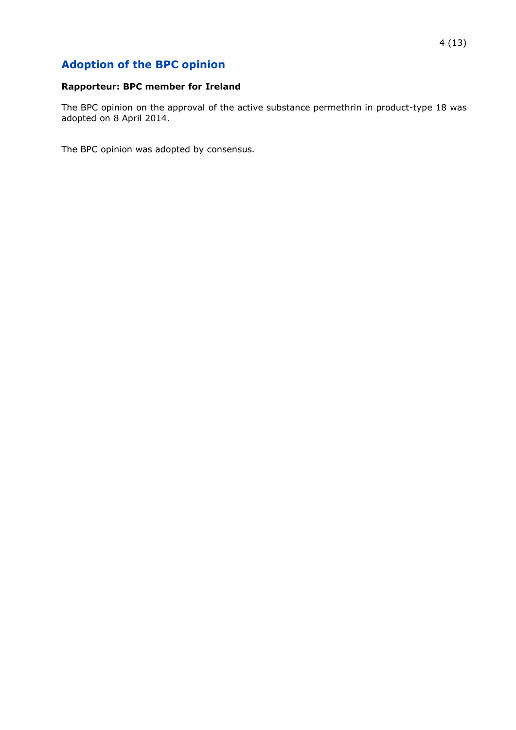# **Adoption of the BPC opinion**

#### **Rapporteur: BPC member for Ireland**

The BPC opinion on the approval of the active substance permethrin in product-type 18 was adopted on 8 April 2014.

The BPC opinion was adopted by consensus*.*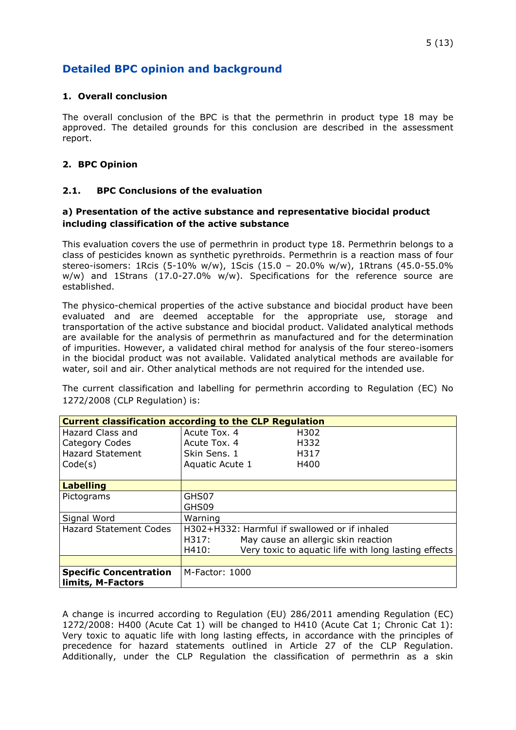### **Detailed BPC opinion and background**

#### **1. Overall conclusion**

The overall conclusion of the BPC is that the permethrin in product type 18 may be approved. The detailed grounds for this conclusion are described in the assessment report.

#### **2. BPC Opinion**

#### **2.1. BPC Conclusions of the evaluation**

#### **a) Presentation of the active substance and representative biocidal product including classification of the active substance**

This evaluation covers the use of permethrin in product type 18. Permethrin belongs to a class of pesticides known as synthetic pyrethroids. Permethrin is a reaction mass of four stereo-isomers: 1Rcis (5-10% w/w), 1Scis (15.0 – 20.0% w/w), 1Rtrans (45.0-55.0% w/w) and 1Strans (17.0-27.0% w/w). Specifications for the reference source are established.

The physico-chemical properties of the active substance and biocidal product have been evaluated and are deemed acceptable for the appropriate use, storage and transportation of the active substance and biocidal product. Validated analytical methods are available for the analysis of permethrin as manufactured and for the determination of impurities. However, a validated chiral method for analysis of the four stereo-isomers in the biocidal product was not available. Validated analytical methods are available for water, soil and air. Other analytical methods are not required for the intended use.

The current classification and labelling for permethrin according to Regulation (EC) No 1272/2008 (CLP Regulation) is:

| <b>Current classification according to the CLP Regulation</b> |                                                               |  |  |  |
|---------------------------------------------------------------|---------------------------------------------------------------|--|--|--|
| Hazard Class and                                              | Acute Tox, 4<br>H302                                          |  |  |  |
| <b>Category Codes</b>                                         | Acute Tox, 4<br>H332                                          |  |  |  |
| <b>Hazard Statement</b>                                       | Skin Sens, 1<br>H317                                          |  |  |  |
| Code(s)                                                       | Aquatic Acute 1<br>H400                                       |  |  |  |
|                                                               |                                                               |  |  |  |
| <b>Labelling</b>                                              |                                                               |  |  |  |
| Pictograms                                                    | GHS07                                                         |  |  |  |
|                                                               | GHS09                                                         |  |  |  |
| Signal Word                                                   | Warning                                                       |  |  |  |
| <b>Hazard Statement Codes</b>                                 | H302+H332: Harmful if swallowed or if inhaled                 |  |  |  |
|                                                               | May cause an allergic skin reaction<br>H317:                  |  |  |  |
|                                                               | Very toxic to aquatic life with long lasting effects<br>H410: |  |  |  |
|                                                               |                                                               |  |  |  |
| <b>Specific Concentration</b>                                 | M-Factor: 1000                                                |  |  |  |
| limits, M-Factors                                             |                                                               |  |  |  |

A change is incurred according to Regulation (EU) 286/2011 amending Regulation (EC) 1272/2008: H400 (Acute Cat 1) will be changed to H410 (Acute Cat 1; Chronic Cat 1): Very toxic to aquatic life with long lasting effects, in accordance with the principles of precedence for hazard statements outlined in Article 27 of the CLP Regulation. Additionally, under the CLP Regulation the classification of permethrin as a skin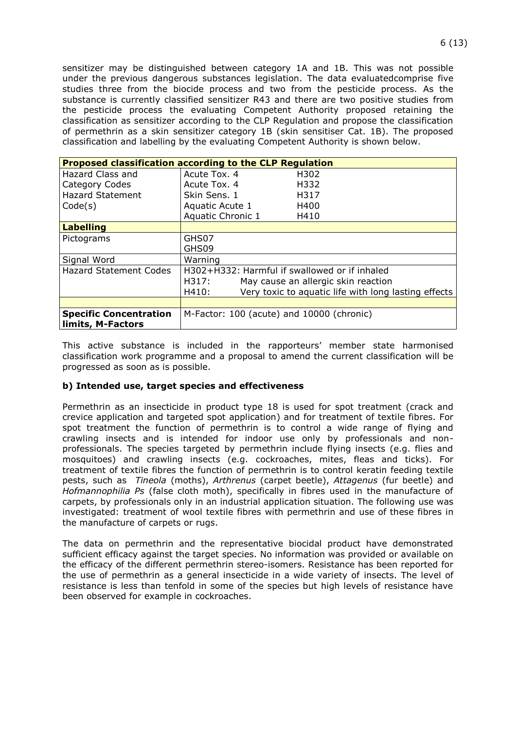sensitizer may be distinguished between category 1A and 1B. This was not possible under the previous dangerous substances legislation. The data evaluatedcomprise five studies three from the biocide process and two from the pesticide process. As the substance is currently classified sensitizer R43 and there are two positive studies from the pesticide process the evaluating Competent Authority proposed retaining the classification as sensitizer according to the CLP Regulation and propose the classification of permethrin as a skin sensitizer category 1B (skin sensitiser Cat. 1B). The proposed classification and labelling by the evaluating Competent Authority is shown below.

| <b>Proposed classification according to the CLP Regulation</b> |                                               |                                                      |  |  |
|----------------------------------------------------------------|-----------------------------------------------|------------------------------------------------------|--|--|
| Hazard Class and                                               | Acute Tox, 4                                  | H302                                                 |  |  |
| Category Codes                                                 | Acute Tox, 4                                  | H332                                                 |  |  |
| <b>Hazard Statement</b>                                        | Skin Sens, 1                                  | H317                                                 |  |  |
| Code(s)                                                        | Aquatic Acute 1                               | H400                                                 |  |  |
|                                                                | Aquatic Chronic 1                             | H410                                                 |  |  |
| <b>Labelling</b>                                               |                                               |                                                      |  |  |
| Pictograms                                                     | GHS07                                         |                                                      |  |  |
|                                                                | GHS09                                         |                                                      |  |  |
| Signal Word                                                    | Warning                                       |                                                      |  |  |
| <b>Hazard Statement Codes</b>                                  | H302+H332: Harmful if swallowed or if inhaled |                                                      |  |  |
|                                                                | May cause an allergic skin reaction<br>H317:  |                                                      |  |  |
|                                                                | H410:                                         | Very toxic to aquatic life with long lasting effects |  |  |
|                                                                |                                               |                                                      |  |  |
| <b>Specific Concentration</b>                                  | M-Factor: 100 (acute) and 10000 (chronic)     |                                                      |  |  |
| limits, M-Factors                                              |                                               |                                                      |  |  |

This active substance is included in the rapporteurs' member state harmonised classification work programme and a proposal to amend the current classification will be progressed as soon as is possible.

#### **b) Intended use, target species and effectiveness**

Permethrin as an insecticide in product type 18 is used for spot treatment (crack and crevice application and targeted spot application) and for treatment of textile fibres. For spot treatment the function of permethrin is to control a wide range of flying and crawling insects and is intended for indoor use only by professionals and nonprofessionals. The species targeted by permethrin include flying insects (e.g. flies and mosquitoes) and crawling insects (e.g. cockroaches, mites, fleas and ticks). For treatment of textile fibres the function of permethrin is to control keratin feeding textile pests, such as *Tineola* (moths), *Arthrenus* (carpet beetle), *Attagenus* (fur beetle) and *Hofmannophilia Ps* (false cloth moth), specifically in fibres used in the manufacture of carpets, by professionals only in an industrial application situation. The following use was investigated: treatment of wool textile fibres with permethrin and use of these fibres in the manufacture of carpets or rugs.

The data on permethrin and the representative biocidal product have demonstrated sufficient efficacy against the target species. No information was provided or available on the efficacy of the different permethrin stereo-isomers. Resistance has been reported for the use of permethrin as a general insecticide in a wide variety of insects. The level of resistance is less than tenfold in some of the species but high levels of resistance have been observed for example in cockroaches.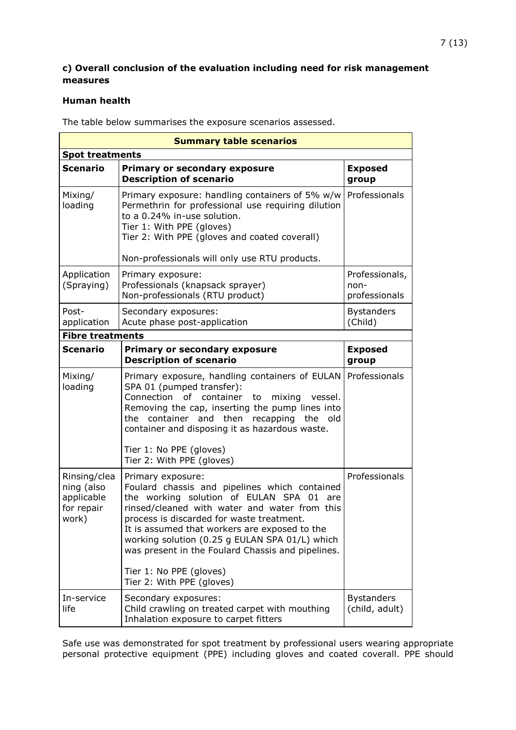#### **c) Overall conclusion of the evaluation including need for risk management measures**

#### **Human health**

The table below summarises the exposure scenarios assessed.

| <b>Summary table scenarios</b>                                  |                                                                                                                                                                                                                                                                                                                                                                                                                                 |                                         |  |  |
|-----------------------------------------------------------------|---------------------------------------------------------------------------------------------------------------------------------------------------------------------------------------------------------------------------------------------------------------------------------------------------------------------------------------------------------------------------------------------------------------------------------|-----------------------------------------|--|--|
| <b>Spot treatments</b>                                          |                                                                                                                                                                                                                                                                                                                                                                                                                                 |                                         |  |  |
| <b>Scenario</b>                                                 | <b>Primary or secondary exposure</b><br><b>Description of scenario</b>                                                                                                                                                                                                                                                                                                                                                          | <b>Exposed</b><br>group                 |  |  |
| Mixing/<br>loading                                              | Primary exposure: handling containers of 5% w/w<br>Permethrin for professional use requiring dilution<br>to a 0.24% in-use solution.<br>Tier 1: With PPE (gloves)<br>Tier 2: With PPE (gloves and coated coverall)<br>Non-professionals will only use RTU products.                                                                                                                                                             | Professionals                           |  |  |
| Application<br>(Spraying)                                       | Primary exposure:<br>Professionals (knapsack sprayer)<br>Non-professionals (RTU product)                                                                                                                                                                                                                                                                                                                                        | Professionals,<br>non-<br>professionals |  |  |
| Post-<br>application                                            | Secondary exposures:<br>Acute phase post-application                                                                                                                                                                                                                                                                                                                                                                            | <b>Bystanders</b><br>(Child)            |  |  |
| <b>Fibre treatments</b>                                         |                                                                                                                                                                                                                                                                                                                                                                                                                                 |                                         |  |  |
| Scenario                                                        | <b>Primary or secondary exposure</b><br><b>Description of scenario</b>                                                                                                                                                                                                                                                                                                                                                          | <b>Exposed</b><br>group                 |  |  |
| Mixing/<br>loading                                              | Primary exposure, handling containers of EULAN<br>SPA 01 (pumped transfer):<br>Connection<br>of container to<br>mixing vessel.<br>Removing the cap, inserting the pump lines into<br>the container and then recapping<br>the old<br>container and disposing it as hazardous waste.<br>Tier 1: No PPE (gloves)<br>Tier 2: With PPE (gloves)                                                                                      | Professionals                           |  |  |
| Rinsing/clea<br>ning (also<br>applicable<br>for repair<br>work) | Primary exposure:<br>Foulard chassis and pipelines which contained<br>the working solution of EULAN SPA 01<br>are<br>rinsed/cleaned with water and water from this<br>process is discarded for waste treatment.<br>It is assumed that workers are exposed to the<br>working solution (0.25 g EULAN SPA 01/L) which<br>was present in the Foulard Chassis and pipelines.<br>Tier 1: No PPE (gloves)<br>Tier 2: With PPE (gloves) | Professionals                           |  |  |
| In-service<br>life                                              | Secondary exposures:<br>Child crawling on treated carpet with mouthing<br>Inhalation exposure to carpet fitters                                                                                                                                                                                                                                                                                                                 | <b>Bystanders</b><br>(child, adult)     |  |  |

Safe use was demonstrated for spot treatment by professional users wearing appropriate personal protective equipment (PPE) including gloves and coated coverall. PPE should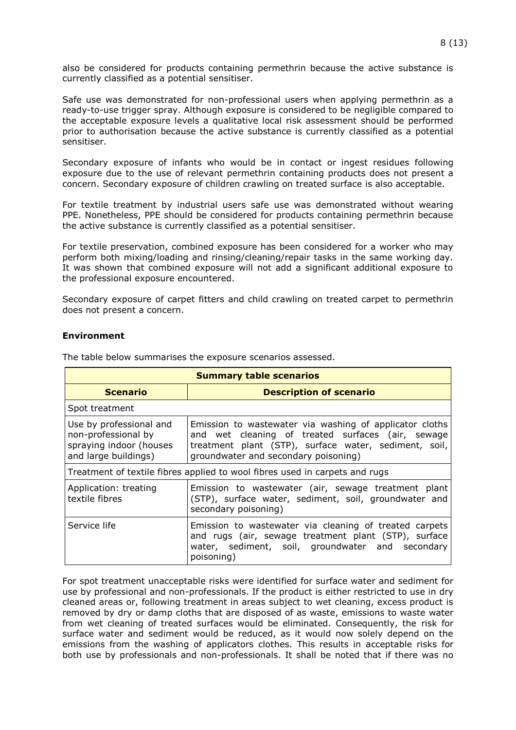also be considered for products containing permethrin because the active substance is currently classified as a potential sensitiser.

Safe use was demonstrated for non-professional users when applying permethrin as a ready-to-use trigger spray. Although exposure is considered to be negligible compared to the acceptable exposure levels a qualitative local risk assessment should be performed prior to authorisation because the active substance is currently classified as a potential sensitiser.

Secondary exposure of infants who would be in contact or ingest residues following exposure due to the use of relevant permethrin containing products does not present a concern. Secondary exposure of children crawling on treated surface is also acceptable.

For textile treatment by industrial users safe use was demonstrated without wearing PPE. Nonetheless, PPE should be considered for products containing permethrin because the active substance is currently classified as a potential sensitiser.

For textile preservation, combined exposure has been considered for a worker who may perform both mixing/loading and rinsing/cleaning/repair tasks in the same working day. It was shown that combined exposure will not add a significant additional exposure to the professional exposure encountered.

Secondary exposure of carpet fitters and child crawling on treated carpet to permethrin does not present a concern.

#### **Environment**

| <b>Summary table scenarios</b>                                                                    |                                                                                                                                                                                                               |  |  |
|---------------------------------------------------------------------------------------------------|---------------------------------------------------------------------------------------------------------------------------------------------------------------------------------------------------------------|--|--|
| <b>Scenario</b>                                                                                   | <b>Description of scenario</b>                                                                                                                                                                                |  |  |
| Spot treatment                                                                                    |                                                                                                                                                                                                               |  |  |
| Use by professional and<br>non-professional by<br>spraying indoor (houses<br>and large buildings) | Emission to wastewater via washing of applicator cloths<br>and wet cleaning of treated surfaces (air, sewage<br>treatment plant (STP), surface water, sediment, soil,<br>groundwater and secondary poisoning) |  |  |
| Treatment of textile fibres applied to wool fibres used in carpets and rugs                       |                                                                                                                                                                                                               |  |  |
| Application: treating<br>textile fibres                                                           | Emission to wastewater (air, sewage treatment plant<br>(STP), surface water, sediment, soil, groundwater and<br>secondary poisoning)                                                                          |  |  |
| Service life                                                                                      | Emission to wastewater via cleaning of treated carpets<br>and rugs (air, sewage treatment plant (STP), surface<br>water, sediment, soil, groundwater and secondary<br>poisoning)                              |  |  |

The table below summarises the exposure scenarios assessed.

For spot treatment unacceptable risks were identified for surface water and sediment for use by professional and non-professionals. If the product is either restricted to use in dry cleaned areas or, following treatment in areas subject to wet cleaning, excess product is removed by dry or damp cloths that are disposed of as waste, emissions to waste water from wet cleaning of treated surfaces would be eliminated. Consequently, the risk for surface water and sediment would be reduced, as it would now solely depend on the emissions from the washing of applicators clothes. This results in acceptable risks for both use by professionals and non-professionals. It shall be noted that if there was no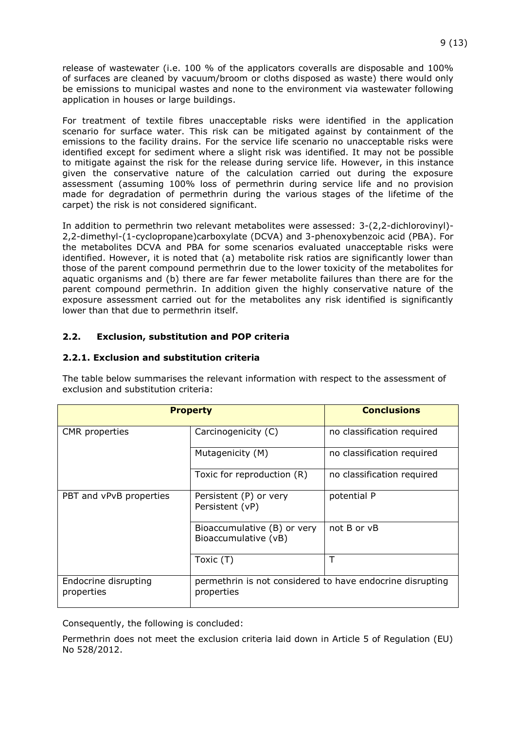release of wastewater (i.e. 100 % of the applicators coveralls are disposable and 100% of surfaces are cleaned by vacuum/broom or cloths disposed as waste) there would only be emissions to municipal wastes and none to the environment via wastewater following application in houses or large buildings.

For treatment of textile fibres unacceptable risks were identified in the application scenario for surface water. This risk can be mitigated against by containment of the emissions to the facility drains. For the service life scenario no unacceptable risks were identified except for sediment where a slight risk was identified. It may not be possible to mitigate against the risk for the release during service life. However, in this instance given the conservative nature of the calculation carried out during the exposure assessment (assuming 100% loss of permethrin during service life and no provision made for degradation of permethrin during the various stages of the lifetime of the carpet) the risk is not considered significant.

In addition to permethrin two relevant metabolites were assessed: 3-(2,2-dichlorovinyl)- 2,2-dimethyl-(1-cyclopropane)carboxylate (DCVA) and 3-phenoxybenzoic acid (PBA). For the metabolites DCVA and PBA for some scenarios evaluated unacceptable risks were identified. However, it is noted that (a) metabolite risk ratios are significantly lower than those of the parent compound permethrin due to the lower toxicity of the metabolites for aquatic organisms and (b) there are far fewer metabolite failures than there are for the parent compound permethrin. In addition given the highly conservative nature of the exposure assessment carried out for the metabolites any risk identified is significantly lower than that due to permethrin itself.

#### **2.2. Exclusion, substitution and POP criteria**

#### **2.2.1. Exclusion and substitution criteria**

| <b>Property</b>                    |                                                                         | <b>Conclusions</b>         |
|------------------------------------|-------------------------------------------------------------------------|----------------------------|
| CMR properties                     | Carcinogenicity (C)                                                     | no classification required |
|                                    | Mutagenicity (M)                                                        | no classification required |
|                                    | Toxic for reproduction (R)                                              | no classification required |
| PBT and vPvB properties            | Persistent (P) or very<br>Persistent (vP)                               | potential P                |
|                                    | Bioaccumulative (B) or very<br>Bioaccumulative (vB)                     | not B or vB                |
|                                    | Toxic (T)                                                               |                            |
| Endocrine disrupting<br>properties | permethrin is not considered to have endocrine disrupting<br>properties |                            |

The table below summarises the relevant information with respect to the assessment of exclusion and substitution criteria:

Consequently, the following is concluded:

Permethrin does not meet the exclusion criteria laid down in Article 5 of Regulation (EU) No 528/2012.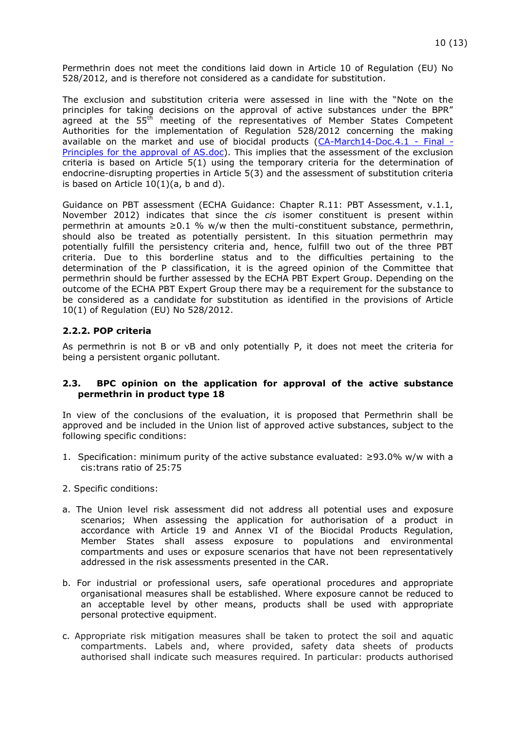Permethrin does not meet the conditions laid down in Article 10 of Regulation (EU) No 528/2012, and is therefore not considered as a candidate for substitution.

The exclusion and substitution criteria were assessed in line with the "Note on the principles for taking decisions on the approval of active substances under the BPR" agreed at the  $55<sup>th</sup>$  meeting of the representatives of Member States Competent Authorities for the implementation of Regulation 528/2012 concerning the making available on the market and use of biocidal products  $(CA-March14-Doc.4.1 - Final (CA-March14-Doc.4.1 - Final -$ [Principles for the approval of AS.doc\)](https://circabc.europa.eu/sd/a/4c1252db-fe7f-4a27-8173-b9fc4983307d/CA-Sept13-Doc.3.0%20-%20Final%20-%20Principles%20for%20the%20approval%20of%20AS.doc). This implies that the assessment of the exclusion criteria is based on Article 5(1) using the temporary criteria for the determination of endocrine-disrupting properties in Article 5(3) and the assessment of substitution criteria is based on Article  $10(1)(a, b$  and d).

Guidance on PBT assessment (ECHA Guidance: Chapter R.11: PBT Assessment, v.1.1, November 2012) indicates that since the *cis* isomer constituent is present within permethrin at amounts  $\geq 0.1$  % w/w then the multi-constituent substance, permethrin, should also be treated as potentially persistent. In this situation permethrin may potentially fulfill the persistency criteria and, hence, fulfill two out of the three PBT criteria. Due to this borderline status and to the difficulties pertaining to the determination of the P classification, it is the agreed opinion of the Committee that permethrin should be further assessed by the ECHA PBT Expert Group. Depending on the outcome of the ECHA PBT Expert Group there may be a requirement for the substance to be considered as a candidate for substitution as identified in the provisions of Article 10(1) of Regulation (EU) No 528/2012.

#### **2.2.2. POP criteria**

As permethrin is not B or vB and only potentially P, it does not meet the criteria for being a persistent organic pollutant.

#### **2.3. BPC opinion on the application for approval of the active substance permethrin in product type 18**

In view of the conclusions of the evaluation, it is proposed that Permethrin shall be approved and be included in the Union list of approved active substances, subject to the following specific conditions:

- 1. Specification: minimum purity of the active substance evaluated: ≥93.0% w/w with a cis:trans ratio of 25:75
- 2. Specific conditions:
- a. The Union level risk assessment did not address all potential uses and exposure scenarios; When assessing the application for authorisation of a product in accordance with Article 19 and Annex VI of the Biocidal Products Regulation, Member States shall assess exposure to populations and environmental compartments and uses or exposure scenarios that have not been representatively addressed in the risk assessments presented in the CAR.
- b. For industrial or professional users, safe operational procedures and appropriate organisational measures shall be established. Where exposure cannot be reduced to an acceptable level by other means, products shall be used with appropriate personal protective equipment.
- c. Appropriate risk mitigation measures shall be taken to protect the soil and aquatic compartments. Labels and, where provided, safety data sheets of products authorised shall indicate such measures required. In particular: products authorised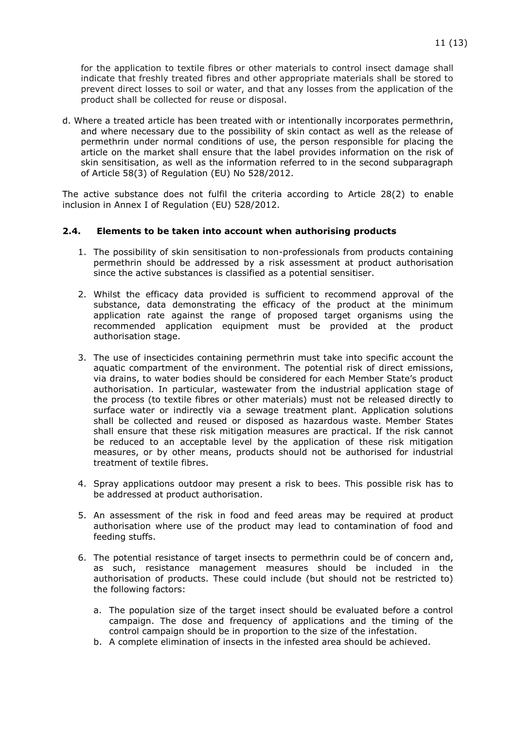for the application to textile fibres or other materials to control insect damage shall indicate that freshly treated fibres and other appropriate materials shall be stored to prevent direct losses to soil or water, and that any losses from the application of the product shall be collected for reuse or disposal.

d. Where a treated article has been treated with or intentionally incorporates permethrin, and where necessary due to the possibility of skin contact as well as the release of permethrin under normal conditions of use, the person responsible for placing the article on the market shall ensure that the label provides information on the risk of skin sensitisation, as well as the information referred to in the second subparagraph of Article 58(3) of Regulation (EU) No 528/2012.

The active substance does not fulfil the criteria according to Article 28(2) to enable inclusion in Annex I of Regulation (EU) 528/2012.

#### **2.4. Elements to be taken into account when authorising products**

- 1. The possibility of skin sensitisation to non-professionals from products containing permethrin should be addressed by a risk assessment at product authorisation since the active substances is classified as a potential sensitiser.
- 2. Whilst the efficacy data provided is sufficient to recommend approval of the substance, data demonstrating the efficacy of the product at the minimum application rate against the range of proposed target organisms using the recommended application equipment must be provided at the product authorisation stage.
- 3. The use of insecticides containing permethrin must take into specific account the aquatic compartment of the environment. The potential risk of direct emissions, via drains, to water bodies should be considered for each Member State's product authorisation. In particular, wastewater from the industrial application stage of the process (to textile fibres or other materials) must not be released directly to surface water or indirectly via a sewage treatment plant. Application solutions shall be collected and reused or disposed as hazardous waste. Member States shall ensure that these risk mitigation measures are practical. If the risk cannot be reduced to an acceptable level by the application of these risk mitigation measures, or by other means, products should not be authorised for industrial treatment of textile fibres.
- 4. Spray applications outdoor may present a risk to bees. This possible risk has to be addressed at product authorisation.
- 5. An assessment of the risk in food and feed areas may be required at product authorisation where use of the product may lead to contamination of food and feeding stuffs.
- 6. The potential resistance of target insects to permethrin could be of concern and, as such, resistance management measures should be included in the authorisation of products. These could include (but should not be restricted to) the following factors:
	- a. The population size of the target insect should be evaluated before a control campaign. The dose and frequency of applications and the timing of the control campaign should be in proportion to the size of the infestation.
	- b. A complete elimination of insects in the infested area should be achieved.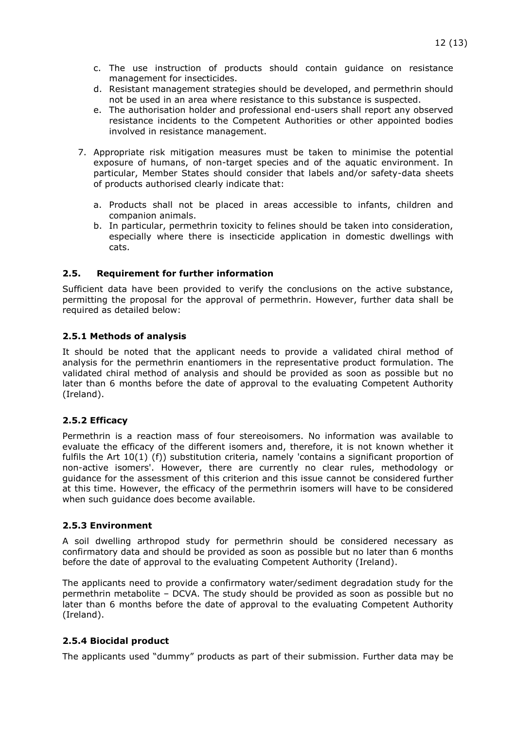- c. The use instruction of products should contain guidance on resistance management for insecticides.
- d. Resistant management strategies should be developed, and permethrin should not be used in an area where resistance to this substance is suspected.
- e. The authorisation holder and professional end-users shall report any observed resistance incidents to the Competent Authorities or other appointed bodies involved in resistance management.
- 7. Appropriate risk mitigation measures must be taken to minimise the potential exposure of humans, of non-target species and of the aquatic environment. In particular, Member States should consider that labels and/or safety-data sheets of products authorised clearly indicate that:
	- a. Products shall not be placed in areas accessible to infants, children and companion animals.
	- b. In particular, permethrin toxicity to felines should be taken into consideration, especially where there is insecticide application in domestic dwellings with cats.

#### **2.5. Requirement for further information**

Sufficient data have been provided to verify the conclusions on the active substance, permitting the proposal for the approval of permethrin. However, further data shall be required as detailed below:

#### **2.5.1 Methods of analysis**

It should be noted that the applicant needs to provide a validated chiral method of analysis for the permethrin enantiomers in the representative product formulation. The validated chiral method of analysis and should be provided as soon as possible but no later than 6 months before the date of approval to the evaluating Competent Authority (Ireland).

#### **2.5.2 Efficacy**

Permethrin is a reaction mass of four stereoisomers. No information was available to evaluate the efficacy of the different isomers and, therefore, it is not known whether it fulfils the Art 10(1) (f)) substitution criteria, namely 'contains a significant proportion of non-active isomers'. However, there are currently no clear rules, methodology or guidance for the assessment of this criterion and this issue cannot be considered further at this time. However, the efficacy of the permethrin isomers will have to be considered when such guidance does become available.

#### **2.5.3 Environment**

A soil dwelling arthropod study for permethrin should be considered necessary as confirmatory data and should be provided as soon as possible but no later than 6 months before the date of approval to the evaluating Competent Authority (Ireland).

The applicants need to provide a confirmatory water/sediment degradation study for the permethrin metabolite – DCVA. The study should be provided as soon as possible but no later than 6 months before the date of approval to the evaluating Competent Authority (Ireland).

#### **2.5.4 Biocidal product**

The applicants used "dummy" products as part of their submission. Further data may be